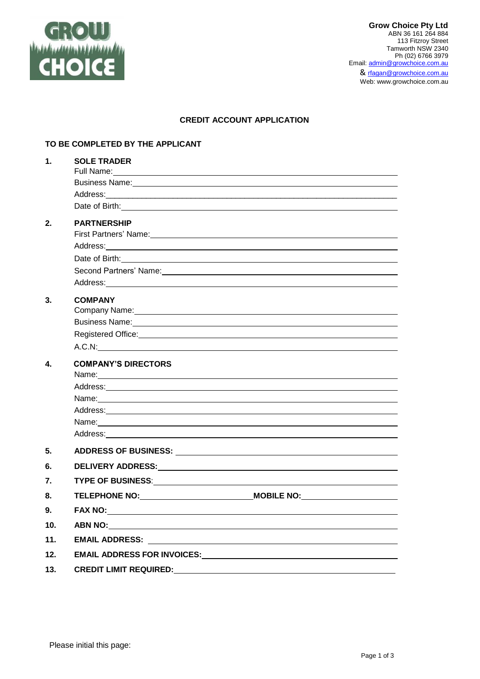

# **CREDIT ACCOUNT APPLICATION**

### **TO BE COMPLETED BY THE APPLICANT**

| $\mathbf 1$ .    | <b>SOLE TRADER</b><br>Full Name: Name and Second Contract of the Contract of the Contract of the Contract of the Contract of the Contract of the Contract of the Contract of the Contract of the Contract of the Contract of the Contract of the Con |  |
|------------------|------------------------------------------------------------------------------------------------------------------------------------------------------------------------------------------------------------------------------------------------------|--|
|                  | Business Name: 1990 Manual Manual Manual Manual Manual Manual Manual Manual Manual Manual Manual Manual Manual                                                                                                                                       |  |
|                  | Address: Address: Address: Address: Address: Address: Address: Address: Address: Address: Address: A                                                                                                                                                 |  |
|                  | Date of Birth: <u>contract and contract and contract and contract and contract and contract and contract and contract and contract and contract and contract and contract and contract and contract and contract and contract an</u>                 |  |
| 2.               | <b>PARTNERSHIP</b>                                                                                                                                                                                                                                   |  |
|                  | First Partners' Name: 1999 and 2009 and 2009 and 2009 and 2009 and 2009 and 2009 and 2009 and 2009 and 2009 and                                                                                                                                      |  |
|                  |                                                                                                                                                                                                                                                      |  |
|                  |                                                                                                                                                                                                                                                      |  |
|                  |                                                                                                                                                                                                                                                      |  |
|                  | Address: Address:                                                                                                                                                                                                                                    |  |
| 3.               | <b>COMPANY</b>                                                                                                                                                                                                                                       |  |
|                  | Company Name: Name: Name of the Company Name: Name of the Company Name of the Company Name of the Company of the Company of the Company of the Company of the Company of the Company of the Company of the Company of the Comp                       |  |
|                  | Business Name: 1990 Manual Communication of the Manual Communication of the Manual Communication of the Manual Communication of the Manual Communication of the Manual Communication of the Manual Communication of the Manual                       |  |
|                  | Registered Office: Negroes and the contract of the contract of the contract of the contract of the contract of                                                                                                                                       |  |
|                  |                                                                                                                                                                                                                                                      |  |
| $\blacktriangle$ | <b>COMPANY'S DIRECTORS</b>                                                                                                                                                                                                                           |  |
|                  | Name: Name: Name: Name: Name: Name: Name: Name: Name: Name: Name: Name: Name: Name: Name: Name: Name: Name: Name: Name: Name: Name: Name: Name: Name: Name: Name: Name: Name: Name: Name: Name: Name: Name: Name: Name: Name:                        |  |
|                  |                                                                                                                                                                                                                                                      |  |
|                  |                                                                                                                                                                                                                                                      |  |
|                  | Address: <u>Address: Address: Address: Address: Address: Address: Address: Address: Address: Address: Address: Address: Address: Address: Address: Address: Address: Address: Address: Address: Address: Address: Address: Addre</u>                 |  |
|                  |                                                                                                                                                                                                                                                      |  |
|                  |                                                                                                                                                                                                                                                      |  |
| 5.               |                                                                                                                                                                                                                                                      |  |
| 6.               |                                                                                                                                                                                                                                                      |  |
| 7.               |                                                                                                                                                                                                                                                      |  |
| 8.               | TELEPHONE NO: WOBILE NO: MOBILE NO:                                                                                                                                                                                                                  |  |
| 9.               |                                                                                                                                                                                                                                                      |  |
| 10 <sub>1</sub>  |                                                                                                                                                                                                                                                      |  |
| 11.              |                                                                                                                                                                                                                                                      |  |
| 12.              |                                                                                                                                                                                                                                                      |  |
| 13.              | <b>CREDIT LIMIT REQUIRED:</b>                                                                                                                                                                                                                        |  |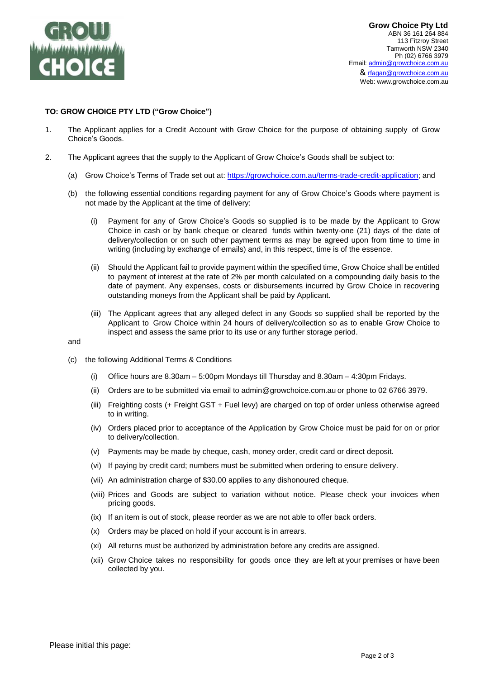

#### **TO: GROW CHOICE PTY LTD ("Grow Choice")**

- 1. The Applicant applies for a Credit Account with Grow Choice for the purpose of obtaining supply of Grow Choice's Goods.
- 2. The Applicant agrees that the supply to the Applicant of Grow Choice's Goods shall be subject to:
	- (a) Grow Choice's Terms of Trade set out at: [https://growchoice.com.au/terms-trade-credit-application;](https://growchoice.com.au/terms-trade-credit-application) and
	- (b) the following essential conditions regarding payment for any of Grow Choice's Goods where payment is not made by the Applicant at the time of delivery:
		- (i) Payment for any of Grow Choice's Goods so supplied is to be made by the Applicant to Grow Choice in cash or by bank cheque or cleared funds within twenty-one (21) days of the date of delivery/collection or on such other payment terms as may be agreed upon from time to time in writing (including by exchange of emails) and, in this respect, time is of the essence.
		- (ii) Should the Applicant fail to provide payment within the specified time, Grow Choice shall be entitled to payment of interest at the rate of 2% per month calculated on a compounding daily basis to the date of payment. Any expenses, costs or disbursements incurred by Grow Choice in recovering outstanding moneys from the Applicant shall be paid by Applicant.
		- (iii) The Applicant agrees that any alleged defect in any Goods so supplied shall be reported by the Applicant to Grow Choice within 24 hours of delivery/collection so as to enable Grow Choice to inspect and assess the same prior to its use or any further storage period.

and

- (c) the following Additional Terms & Conditions
	- (i) Office hours are 8.30am 5:00pm Mondays till Thursday and 8.30am 4:30pm Fridays.
	- (ii) Orders are to be submitted via email to admin@growchoice.com.au or phone to 02 6766 3979.
	- (iii) Freighting costs (+ Freight GST + Fuel levy) are charged on top of order unless otherwise agreed to in writing.
	- (iv) Orders placed prior to acceptance of the Application by Grow Choice must be paid for on or prior to delivery/collection.
	- (v) Payments may be made by cheque, cash, money order, credit card or direct deposit.
	- (vi) If paying by credit card; numbers must be submitted when ordering to ensure delivery.
	- (vii) An administration charge of \$30.00 applies to any dishonoured cheque.
	- (viii) Prices and Goods are subject to variation without notice. Please check your invoices when pricing goods.
	- (ix) If an item is out of stock, please reorder as we are not able to offer back orders.
	- (x) Orders may be placed on hold if your account is in arrears.
	- (xi) All returns must be authorized by administration before any credits are assigned.
	- (xii) Grow Choice takes no responsibility for goods once they are left at your premises or have been collected by you.